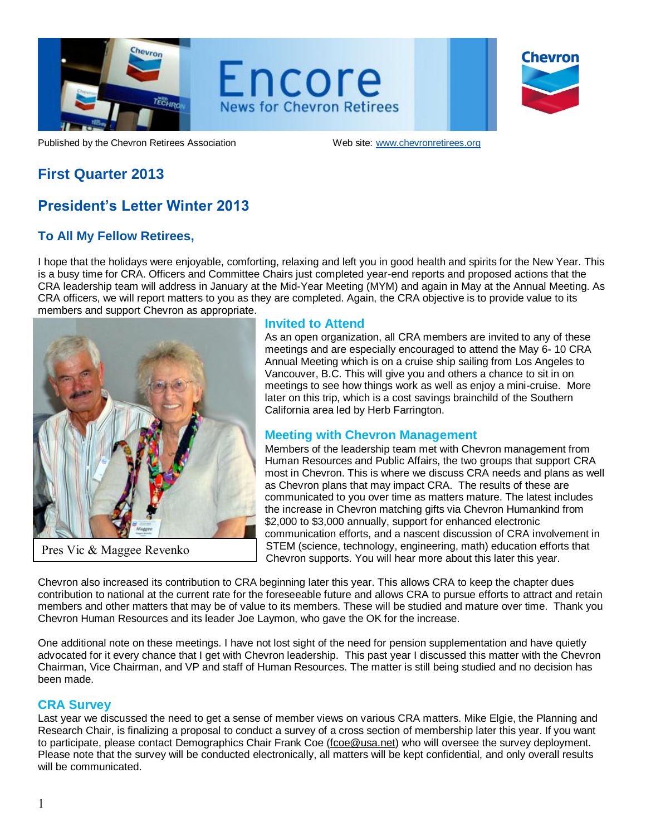

Encore **News for Chevron Retirees** 

| <b>Chevron</b> |  |
|----------------|--|
|                |  |
|                |  |

Published by the Chevron Retirees Association Web site: www.chevronretirees.org

# **First Quarter 2013**

# **President's Letter Winter 2013**

## **To All My Fellow Retirees,**

I hope that the holidays were enjoyable, comforting, relaxing and left you in good health and spirits for the New Year. This is a busy time for CRA. Officers and Committee Chairs just completed year-end reports and proposed actions that the CRA leadership team will address in January at the Mid-Year Meeting (MYM) and again in May at the Annual Meeting. As CRA officers, we will report matters to you as they are completed. Again, the CRA objective is to provide value to its members and support Chevron as appropriate.



Pres Vic & Maggee Revenko

#### **Invited to Attend**

As an open organization, all CRA members are invited to any of these meetings and are especially encouraged to attend the May 6- 10 CRA Annual Meeting which is on a cruise ship sailing from Los Angeles to Vancouver, B.C. This will give you and others a chance to sit in on meetings to see how things work as well as enjoy a mini-cruise. More later on this trip, which is a cost savings brainchild of the Southern California area led by Herb Farrington.

## **Meeting with Chevron Management**

Members of the leadership team met with Chevron management from Human Resources and Public Affairs, the two groups that support CRA most in Chevron. This is where we discuss CRA needs and plans as well as Chevron plans that may impact CRA. The results of these are communicated to you over time as matters mature. The latest includes the increase in Chevron matching gifts via Chevron Humankind from \$2,000 to \$3,000 annually, support for enhanced electronic communication efforts, and a nascent discussion of CRA involvement in STEM (science, technology, engineering, math) education efforts that Chevron supports. You will hear more about this later this year.

Chevron also increased its contribution to CRA beginning later this year. This allows CRA to keep the chapter dues contribution to national at the current rate for the foreseeable future and allows CRA to pursue efforts to attract and retain members and other matters that may be of value to its members. These will be studied and mature over time. Thank you Chevron Human Resources and its leader Joe Laymon, who gave the OK for the increase.

One additional note on these meetings. I have not lost sight of the need for pension supplementation and have quietly advocated for it every chance that I get with Chevron leadership. This past year I discussed this matter with the Chevron Chairman, Vice Chairman, and VP and staff of Human Resources. The matter is still being studied and no decision has been made.

## **CRA Survey**

Last year we discussed the need to get a sense of member views on various CRA matters. Mike Elgie, the Planning and Research Chair, is finalizing a proposal to conduct a survey of a cross section of membership later this year. If you want to participate, please contact Demographics Chair Frank Coe [\(fcoe@usa.net\)](mailto:fcoe@usa.net) who will oversee the survey deployment. Please note that the survey will be conducted electronically, all matters will be kept confidential, and only overall results will be communicated.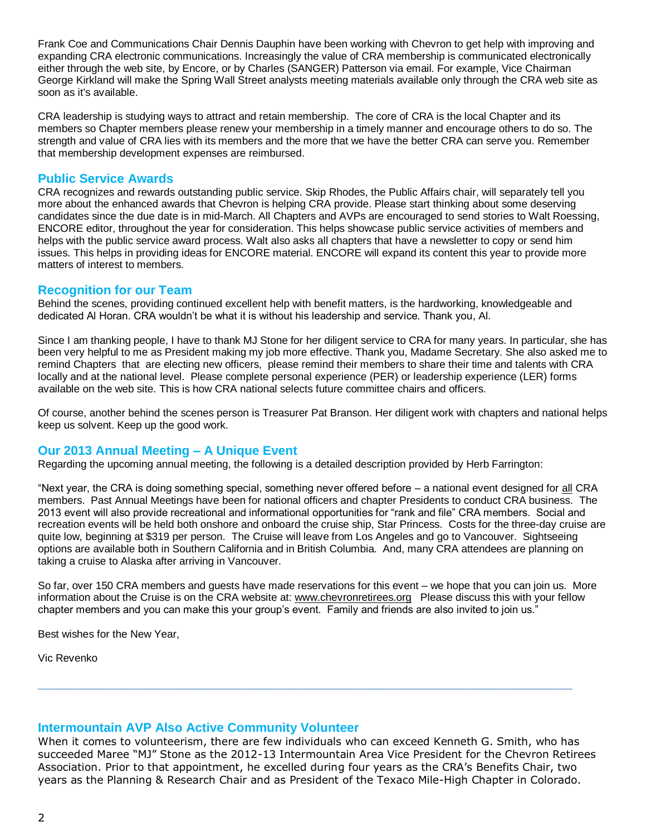Frank Coe and Communications Chair Dennis Dauphin have been working with Chevron to get help with improving and expanding CRA electronic communications. Increasingly the value of CRA membership is communicated electronically either through the web site, by Encore, or by Charles (SANGER) Patterson via email. For example, Vice Chairman George Kirkland will make the Spring Wall Street analysts meeting materials available only through the CRA web site as soon as it's available.

CRA leadership is studying ways to attract and retain membership. The core of CRA is the local Chapter and its members so Chapter members please renew your membership in a timely manner and encourage others to do so. The strength and value of CRA lies with its members and the more that we have the better CRA can serve you. Remember that membership development expenses are reimbursed.

#### **Public Service Awards**

CRA recognizes and rewards outstanding public service. Skip Rhodes, the Public Affairs chair, will separately tell you more about the enhanced awards that Chevron is helping CRA provide. Please start thinking about some deserving candidates since the due date is in mid-March. All Chapters and AVPs are encouraged to send stories to Walt Roessing, ENCORE editor, throughout the year for consideration. This helps showcase public service activities of members and helps with the public service award process. Walt also asks all chapters that have a newsletter to copy or send him issues. This helps in providing ideas for ENCORE material. ENCORE will expand its content this year to provide more matters of interest to members.

#### **Recognition for our Team**

Behind the scenes, providing continued excellent help with benefit matters, is the hardworking, knowledgeable and dedicated Al Horan. CRA wouldn't be what it is without his leadership and service. Thank you, Al.

Since I am thanking people, I have to thank MJ Stone for her diligent service to CRA for many years. In particular, she has been very helpful to me as President making my job more effective. Thank you, Madame Secretary. She also asked me to remind Chapters that are electing new officers, please remind their members to share their time and talents with CRA locally and at the national level. Please complete personal experience (PER) or leadership experience (LER) forms available on the web site. This is how CRA national selects future committee chairs and officers.

Of course, another behind the scenes person is Treasurer Pat Branson. Her diligent work with chapters and national helps keep us solvent. Keep up the good work.

#### **Our 2013 Annual Meeting – A Unique Event**

Regarding the upcoming annual meeting, the following is a detailed description provided by Herb Farrington:

"Next year, the CRA is doing something special, something never offered before – a national event designed for all CRA members. Past Annual Meetings have been for national officers and chapter Presidents to conduct CRA business. The 2013 event will also provide recreational and informational opportunities for "rank and file" CRA members. Social and recreation events will be held both onshore and onboard the cruise ship, Star Princess. Costs for the three-day cruise are quite low, beginning at \$319 per person. The Cruise will leave from Los Angeles and go to Vancouver. Sightseeing options are available both in Southern California and in British Columbia. And, many CRA attendees are planning on taking a cruise to Alaska after arriving in Vancouver.

So far, over 150 CRA members and guests have made reservations for this event – we hope that you can join us. More information about the Cruise is on the CRA website at: [www.chevronretirees.org](http://www.chevronretirees.org/) Please discuss this with your fellow chapter members and you can make this your group's event. Family and friends are also invited to join us."

Best wishes for the New Year,

Vic Revenko

#### **Intermountain AVP Also Active Community Volunteer**

When it comes to volunteerism, there are few individuals who can exceed Kenneth G. Smith, who has succeeded Maree "MJ" Stone as the 2012-13 Intermountain Area Vice President for the Chevron Retirees Association. Prior to that appointment, he excelled during four years as the CRA's Benefits Chair, two years as the Planning & Research Chair and as President of the Texaco Mile-High Chapter in Colorado.

**\_\_\_\_\_\_\_\_\_\_\_\_\_\_\_\_\_\_\_\_\_\_\_\_\_\_\_\_\_\_\_\_\_\_\_\_\_\_\_\_\_\_\_\_\_\_\_\_\_\_\_\_\_\_\_\_\_\_\_\_\_\_\_\_\_\_\_\_\_\_\_\_\_\_\_\_**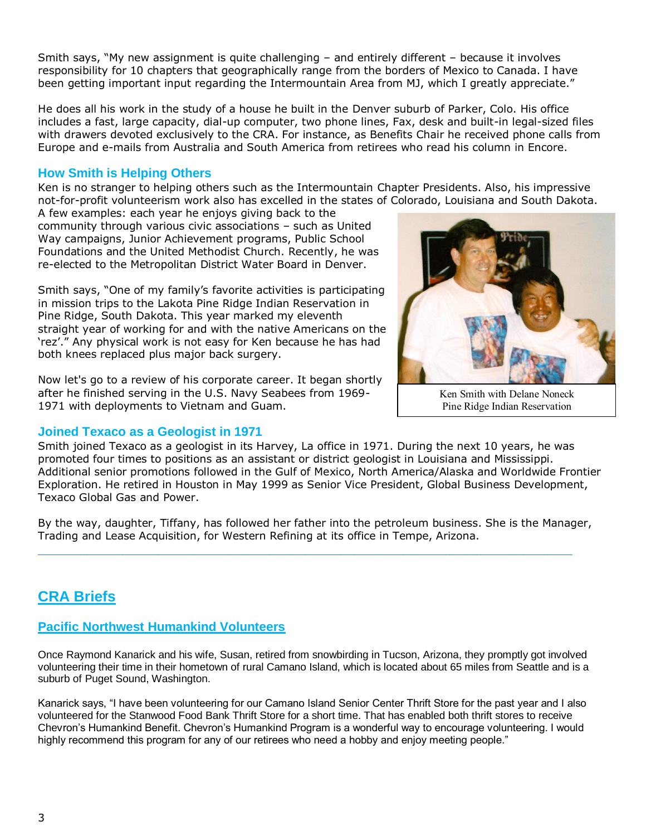Smith says, "My new assignment is quite challenging – and entirely different – because it involves responsibility for 10 chapters that geographically range from the borders of Mexico to Canada. I have been getting important input regarding the Intermountain Area from MJ, which I greatly appreciate."

He does all his work in the study of a house he built in the Denver suburb of Parker, Colo. His office includes a fast, large capacity, dial-up computer, two phone lines, Fax, desk and built-in legal-sized files with drawers devoted exclusively to the CRA. For instance, as Benefits Chair he received phone calls from Europe and e-mails from Australia and South America from retirees who read his column in Encore.

### **How Smith is Helping Others**

Ken is no stranger to helping others such as the Intermountain Chapter Presidents. Also, his impressive not-for-profit volunteerism work also has excelled in the states of Colorado, Louisiana and South Dakota.

A few examples: each year he enjoys giving back to the community through various civic associations – such as United Way campaigns, Junior Achievement programs, Public School Foundations and the United Methodist Church. Recently, he was re-elected to the Metropolitan District Water Board in Denver.

Smith says, "One of my family's favorite activities is participating in mission trips to the Lakota Pine Ridge Indian Reservation in Pine Ridge, South Dakota. This year marked my eleventh straight year of working for and with the native Americans on the 'rez'." Any physical work is not easy for Ken because he has had both knees replaced plus major back surgery.

Now let's go to a review of his corporate career. It began shortly after he finished serving in the U.S. Navy Seabees from 1969- 1971 with deployments to Vietnam and Guam.

#### **Joined Texaco as a Geologist in 1971**



Ken Smith with Delane Noneck Pine Ridge Indian Reservation

Smith joined Texaco as a geologist in its Harvey, La office in 1971. During the next 10 years, he was promoted four times to positions as an assistant or district geologist in Louisiana and Mississippi. Additional senior promotions followed in the Gulf of Mexico, North America/Alaska and Worldwide Frontier Exploration. He retired in Houston in May 1999 as Senior Vice President, Global Business Development, Texaco Global Gas and Power.

By the way, daughter, Tiffany, has followed her father into the petroleum business. She is the Manager, Trading and Lease Acquisition, for Western Refining at its office in Tempe, Arizona.

**\_\_\_\_\_\_\_\_\_\_\_\_\_\_\_\_\_\_\_\_\_\_\_\_\_\_\_\_\_\_\_\_\_\_\_\_\_\_\_\_\_\_\_\_\_\_\_\_\_\_\_\_\_\_\_\_\_\_\_\_\_\_\_\_\_\_\_\_\_\_\_\_\_\_\_\_**

# **CRA Briefs**

# **Pacific Northwest Humankind Volunteers**

Once Raymond Kanarick and his wife, Susan, retired from snowbirding in Tucson, Arizona, they promptly got involved volunteering their time in their hometown of rural Camano Island, which is located about 65 miles from Seattle and is a suburb of Puget Sound, Washington.

Kanarick says, "I have been volunteering for our Camano Island Senior Center Thrift Store for the past year and I also volunteered for the Stanwood Food Bank Thrift Store for a short time. That has enabled both thrift stores to receive Chevron's Humankind Benefit. Chevron's Humankind Program is a wonderful way to encourage volunteering. I would highly recommend this program for any of our retirees who need a hobby and enjoy meeting people."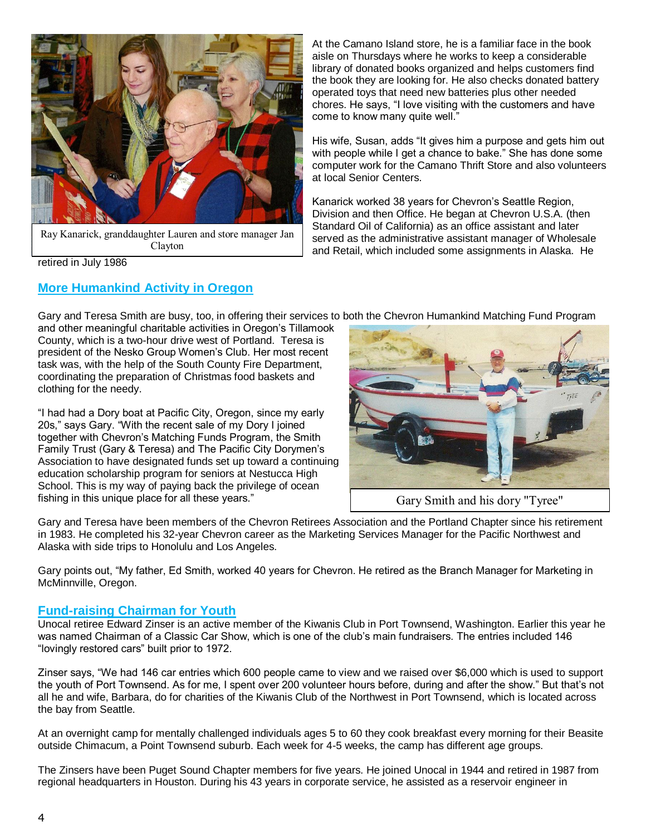

Ray Kanarick, granddaughter Lauren and store manager Jan Clayton

retired in July 1986

### **More Humankind Activity in Oregon**

At the Camano Island store, he is a familiar face in the book aisle on Thursdays where he works to keep a considerable library of donated books organized and helps customers find the book they are looking for. He also checks donated battery operated toys that need new batteries plus other needed chores. He says, "I love visiting with the customers and have come to know many quite well."

His wife, Susan, adds "It gives him a purpose and gets him out with people while I get a chance to bake." She has done some computer work for the Camano Thrift Store and also volunteers at local Senior Centers.

Kanarick worked 38 years for Chevron's Seattle Region, Division and then Office. He began at Chevron U.S.A. (then Standard Oil of California) as an office assistant and later served as the administrative assistant manager of Wholesale and Retail, which included some assignments in Alaska. He

Gary and Teresa Smith are busy, too, in offering their services to both the Chevron Humankind Matching Fund Program

and other meaningful charitable activities in Oregon's Tillamook County, which is a two-hour drive west of Portland. Teresa is president of the Nesko Group Women's Club. Her most recent task was, with the help of the South County Fire Department, coordinating the preparation of Christmas food baskets and clothing for the needy.

"I had had a Dory boat at Pacific City, Oregon, since my early 20s," says Gary. "With the recent sale of my Dory I joined together with Chevron's Matching Funds Program, the Smith Family Trust (Gary & Teresa) and The Pacific City Dorymen's Association to have designated funds set up toward a continuing education scholarship program for seniors at Nestucca High School. This is my way of paying back the privilege of ocean fishing in this unique place for all these years."



Gary and Teresa have been members of the Chevron Retirees Association and the Portland Chapter since his retirement in 1983. He completed his 32-year Chevron career as the Marketing Services Manager for the Pacific Northwest and Alaska with side trips to Honolulu and Los Angeles.

Gary points out, "My father, Ed Smith, worked 40 years for Chevron. He retired as the Branch Manager for Marketing in McMinnville, Oregon.

#### **Fund-raising Chairman for Youth**

Unocal retiree Edward Zinser is an active member of the Kiwanis Club in Port Townsend, Washington. Earlier this year he was named Chairman of a Classic Car Show, which is one of the club's main fundraisers. The entries included 146 "lovingly restored cars" built prior to 1972.

Zinser says, "We had 146 car entries which 600 people came to view and we raised over \$6,000 which is used to support the youth of Port Townsend. As for me, I spent over 200 volunteer hours before, during and after the show." But that's not all he and wife, Barbara, do for charities of the Kiwanis Club of the Northwest in Port Townsend, which is located across the bay from Seattle.

At an overnight camp for mentally challenged individuals ages 5 to 60 they cook breakfast every morning for their Beasite outside Chimacum, a Point Townsend suburb. Each week for 4-5 weeks, the camp has different age groups.

The Zinsers have been Puget Sound Chapter members for five years. He joined Unocal in 1944 and retired in 1987 from regional headquarters in Houston. During his 43 years in corporate service, he assisted as a reservoir engineer in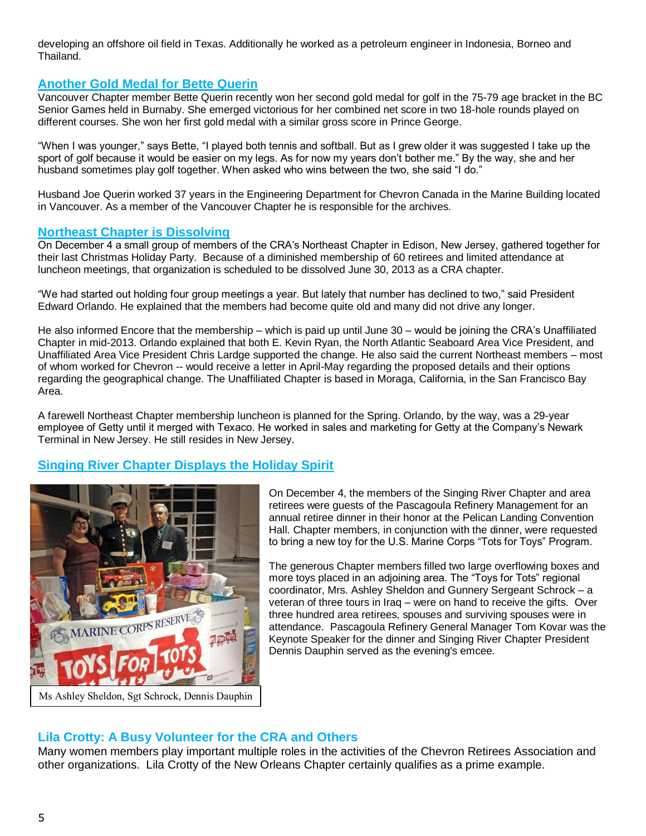developing an offshore oil field in Texas. Additionally he worked as a petroleum engineer in Indonesia, Borneo and Thailand.

#### **Another Gold Medal for Bette Querin**

Vancouver Chapter member Bette Querin recently won her second gold medal for golf in the 75-79 age bracket in the BC Senior Games held in Burnaby. She emerged victorious for her combined net score in two 18-hole rounds played on different courses. She won her first gold medal with a similar gross score in Prince George.

"When I was younger," says Bette, "I played both tennis and softball. But as I grew older it was suggested I take up the sport of golf because it would be easier on my legs. As for now my years don't bother me." By the way, she and her husband sometimes play golf together. When asked who wins between the two, she said "I do."

Husband Joe Querin worked 37 years in the Engineering Department for Chevron Canada in the Marine Building located in Vancouver. As a member of the Vancouver Chapter he is responsible for the archives.

#### **Northeast Chapter is Dissolving**

On December 4 a small group of members of the CRA's Northeast Chapter in Edison, New Jersey, gathered together for their last Christmas Holiday Party. Because of a diminished membership of 60 retirees and limited attendance at luncheon meetings, that organization is scheduled to be dissolved June 30, 2013 as a CRA chapter.

"We had started out holding four group meetings a year. But lately that number has declined to two," said President Edward Orlando. He explained that the members had become quite old and many did not drive any longer.

He also informed Encore that the membership – which is paid up until June 30 – would be joining the CRA's Unaffiliated Chapter in mid-2013. Orlando explained that both E. Kevin Ryan, the North Atlantic Seaboard Area Vice President, and Unaffiliated Area Vice President Chris Lardge supported the change. He also said the current Northeast members – most of whom worked for Chevron -- would receive a letter in April-May regarding the proposed details and their options regarding the geographical change. The Unaffiliated Chapter is based in Moraga, California, in the San Francisco Bay Area.

A farewell Northeast Chapter membership luncheon is planned for the Spring. Orlando, by the way, was a 29-year employee of Getty until it merged with Texaco. He worked in sales and marketing for Getty at the Company's Newark Terminal in New Jersey. He still resides in New Jersey.

## **Singing River Chapter Displays the Holiday Spirit**



On December 4, the members of the Singing River Chapter and area retirees were guests of the Pascagoula Refinery Management for an annual retiree dinner in their honor at the Pelican Landing Convention Hall. Chapter members, in conjunction with the dinner, were requested to bring a new toy for the U.S. Marine Corps "Tots for Toys" Program.

The generous Chapter members filled two large overflowing boxes and more toys placed in an adjoining area. The "Toys for Tots" regional coordinator, Mrs. Ashley Sheldon and Gunnery Sergeant Schrock – a veteran of three tours in Iraq – were on hand to receive the gifts. Over three hundred area retirees, spouses and surviving spouses were in attendance. Pascagoula Refinery General Manager Tom Kovar was the Keynote Speaker for the dinner and Singing River Chapter President Dennis Dauphin served as the evening's emcee.

## **Lila Crotty: A Busy Volunteer for the CRA and Others**

Many women members play important multiple roles in the activities of the Chevron Retirees Association and other organizations. Lila Crotty of the New Orleans Chapter certainly qualifies as a prime example.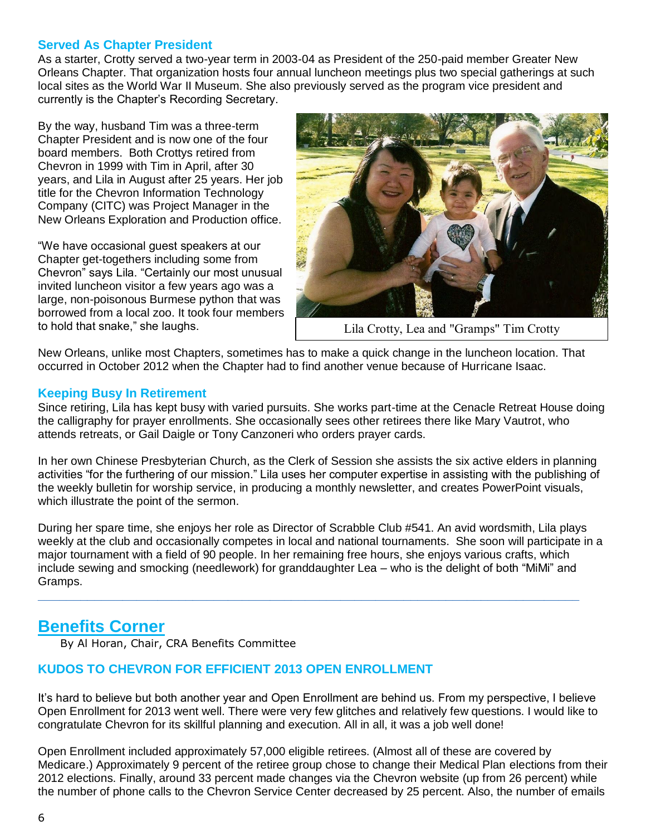## **Served As Chapter President**

As a starter, Crotty served a two-year term in 2003-04 as President of the 250-paid member Greater New Orleans Chapter. That organization hosts four annual luncheon meetings plus two special gatherings at such local sites as the World War II Museum. She also previously served as the program vice president and currently is the Chapter's Recording Secretary.

By the way, husband Tim was a three-term Chapter President and is now one of the four board members. Both Crottys retired from Chevron in 1999 with Tim in April, after 30 years, and Lila in August after 25 years. Her job title for the Chevron Information Technology Company (CITC) was Project Manager in the New Orleans Exploration and Production office.

"We have occasional guest speakers at our Chapter get-togethers including some from Chevron" says Lila. "Certainly our most unusual invited luncheon visitor a few years ago was a large, non-poisonous Burmese python that was borrowed from a local zoo. It took four members to hold that snake," she laughs.



Lila Crotty, Lea and "Gramps" Tim Crotty

New Orleans, unlike most Chapters, sometimes has to make a quick change in the luncheon location. That occurred in October 2012 when the Chapter had to find another venue because of Hurricane Isaac.

### **Keeping Busy In Retirement**

Since retiring, Lila has kept busy with varied pursuits. She works part-time at the Cenacle Retreat House doing the calligraphy for prayer enrollments. She occasionally sees other retirees there like Mary Vautrot, who attends retreats, or Gail Daigle or Tony Canzoneri who orders prayer cards.

In her own Chinese Presbyterian Church, as the Clerk of Session she assists the six active elders in planning activities "for the furthering of our mission." Lila uses her computer expertise in assisting with the publishing of the weekly bulletin for worship service, in producing a monthly newsletter, and creates PowerPoint visuals, which illustrate the point of the sermon.

During her spare time, she enjoys her role as Director of Scrabble Club #541. An avid wordsmith, Lila plays weekly at the club and occasionally competes in local and national tournaments. She soon will participate in a major tournament with a field of 90 people. In her remaining free hours, she enjoys various crafts, which include sewing and smocking (needlework) for granddaughter Lea – who is the delight of both "MiMi" and Gramps.

**\_\_\_\_\_\_\_\_\_\_\_\_\_\_\_\_\_\_\_\_\_\_\_\_\_\_\_\_\_\_\_\_\_\_\_\_\_\_\_\_\_\_\_\_\_\_\_\_\_\_\_\_\_\_\_\_\_\_\_\_\_\_\_\_\_\_\_\_\_\_\_\_\_\_\_\_\_**

# **Benefits Corner**

By Al Horan, Chair, CRA Benefits Committee

## **KUDOS TO CHEVRON FOR EFFICIENT 2013 OPEN ENROLLMENT**

It's hard to believe but both another year and Open Enrollment are behind us. From my perspective, I believe Open Enrollment for 2013 went well. There were very few glitches and relatively few questions. I would like to congratulate Chevron for its skillful planning and execution. All in all, it was a job well done!

Open Enrollment included approximately 57,000 eligible retirees. (Almost all of these are covered by Medicare.) Approximately 9 percent of the retiree group chose to change their Medical Plan elections from their 2012 elections. Finally, around 33 percent made changes via the Chevron website (up from 26 percent) while the number of phone calls to the Chevron Service Center decreased by 25 percent. Also, the number of emails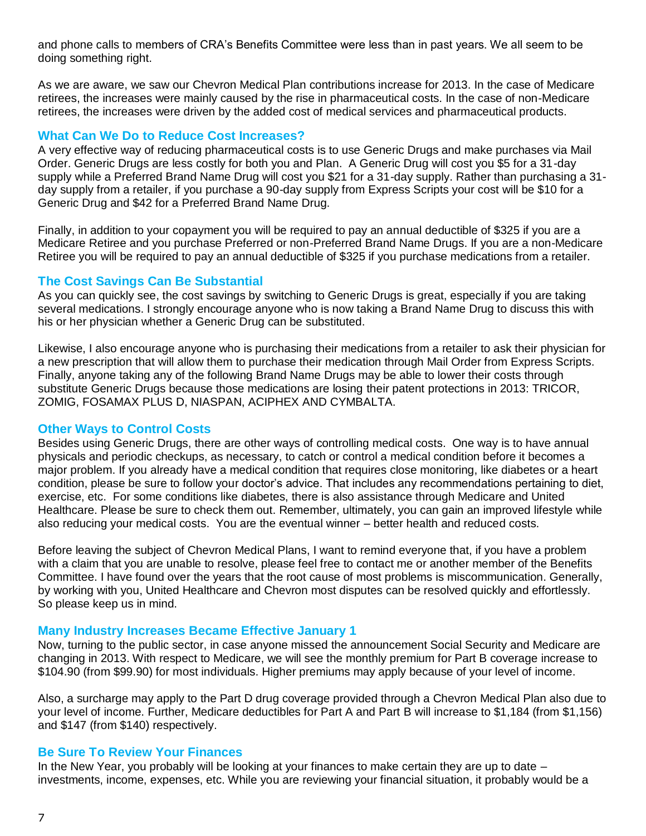and phone calls to members of CRA's Benefits Committee were less than in past years. We all seem to be doing something right.

As we are aware, we saw our Chevron Medical Plan contributions increase for 2013. In the case of Medicare retirees, the increases were mainly caused by the rise in pharmaceutical costs. In the case of non-Medicare retirees, the increases were driven by the added cost of medical services and pharmaceutical products.

#### **What Can We Do to Reduce Cost Increases?**

A very effective way of reducing pharmaceutical costs is to use Generic Drugs and make purchases via Mail Order. Generic Drugs are less costly for both you and Plan. A Generic Drug will cost you \$5 for a 31-day supply while a Preferred Brand Name Drug will cost you \$21 for a 31-day supply. Rather than purchasing a 31 day supply from a retailer, if you purchase a 90-day supply from Express Scripts your cost will be \$10 for a Generic Drug and \$42 for a Preferred Brand Name Drug.

Finally, in addition to your copayment you will be required to pay an annual deductible of \$325 if you are a Medicare Retiree and you purchase Preferred or non-Preferred Brand Name Drugs. If you are a non-Medicare Retiree you will be required to pay an annual deductible of \$325 if you purchase medications from a retailer.

## **The Cost Savings Can Be Substantial**

As you can quickly see, the cost savings by switching to Generic Drugs is great, especially if you are taking several medications. I strongly encourage anyone who is now taking a Brand Name Drug to discuss this with his or her physician whether a Generic Drug can be substituted.

Likewise, I also encourage anyone who is purchasing their medications from a retailer to ask their physician for a new prescription that will allow them to purchase their medication through Mail Order from Express Scripts. Finally, anyone taking any of the following Brand Name Drugs may be able to lower their costs through substitute Generic Drugs because those medications are losing their patent protections in 2013: TRICOR, ZOMIG, FOSAMAX PLUS D, NIASPAN, ACIPHEX AND CYMBALTA.

## **Other Ways to Control Costs**

Besides using Generic Drugs, there are other ways of controlling medical costs. One way is to have annual physicals and periodic checkups, as necessary, to catch or control a medical condition before it becomes a major problem. If you already have a medical condition that requires close monitoring, like diabetes or a heart condition, please be sure to follow your doctor's advice. That includes any recommendations pertaining to diet, exercise, etc. For some conditions like diabetes, there is also assistance through Medicare and United Healthcare. Please be sure to check them out. Remember, ultimately, you can gain an improved lifestyle while also reducing your medical costs. You are the eventual winner – better health and reduced costs.

Before leaving the subject of Chevron Medical Plans, I want to remind everyone that, if you have a problem with a claim that you are unable to resolve, please feel free to contact me or another member of the Benefits Committee. I have found over the years that the root cause of most problems is miscommunication. Generally, by working with you, United Healthcare and Chevron most disputes can be resolved quickly and effortlessly. So please keep us in mind.

#### **Many Industry Increases Became Effective January 1**

Now, turning to the public sector, in case anyone missed the announcement Social Security and Medicare are changing in 2013. With respect to Medicare, we will see the monthly premium for Part B coverage increase to \$104.90 (from \$99.90) for most individuals. Higher premiums may apply because of your level of income.

Also, a surcharge may apply to the Part D drug coverage provided through a Chevron Medical Plan also due to your level of income. Further, Medicare deductibles for Part A and Part B will increase to \$1,184 (from \$1,156) and \$147 (from \$140) respectively.

## **Be Sure To Review Your Finances**

In the New Year, you probably will be looking at your finances to make certain they are up to date – investments, income, expenses, etc. While you are reviewing your financial situation, it probably would be a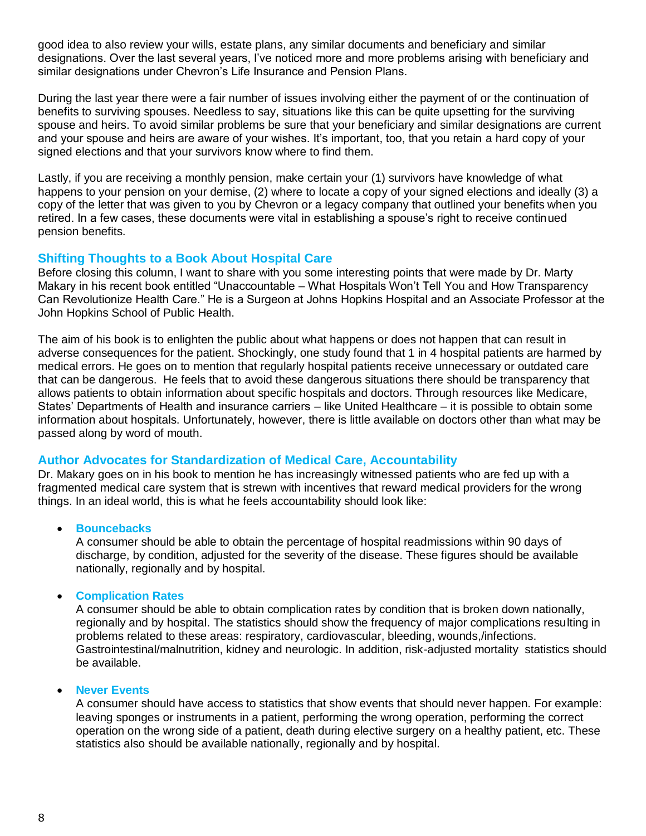good idea to also review your wills, estate plans, any similar documents and beneficiary and similar designations. Over the last several years, I've noticed more and more problems arising with beneficiary and similar designations under Chevron's Life Insurance and Pension Plans.

During the last year there were a fair number of issues involving either the payment of or the continuation of benefits to surviving spouses. Needless to say, situations like this can be quite upsetting for the surviving spouse and heirs. To avoid similar problems be sure that your beneficiary and similar designations are current and your spouse and heirs are aware of your wishes. It's important, too, that you retain a hard copy of your signed elections and that your survivors know where to find them.

Lastly, if you are receiving a monthly pension, make certain your (1) survivors have knowledge of what happens to your pension on your demise, (2) where to locate a copy of your signed elections and ideally (3) a copy of the letter that was given to you by Chevron or a legacy company that outlined your benefits when you retired. In a few cases, these documents were vital in establishing a spouse's right to receive continued pension benefits.

## **Shifting Thoughts to a Book About Hospital Care**

Before closing this column, I want to share with you some interesting points that were made by Dr. Marty Makary in his recent book entitled "Unaccountable – What Hospitals Won't Tell You and How Transparency Can Revolutionize Health Care." He is a Surgeon at Johns Hopkins Hospital and an Associate Professor at the John Hopkins School of Public Health.

The aim of his book is to enlighten the public about what happens or does not happen that can result in adverse consequences for the patient. Shockingly, one study found that 1 in 4 hospital patients are harmed by medical errors. He goes on to mention that regularly hospital patients receive unnecessary or outdated care that can be dangerous. He feels that to avoid these dangerous situations there should be transparency that allows patients to obtain information about specific hospitals and doctors. Through resources like Medicare, States' Departments of Health and insurance carriers – like United Healthcare – it is possible to obtain some information about hospitals. Unfortunately, however, there is little available on doctors other than what may be passed along by word of mouth.

## **Author Advocates for Standardization of Medical Care, Accountability**

Dr. Makary goes on in his book to mention he has increasingly witnessed patients who are fed up with a fragmented medical care system that is strewn with incentives that reward medical providers for the wrong things. In an ideal world, this is what he feels accountability should look like:

#### **•** Bouncebacks

A consumer should be able to obtain the percentage of hospital readmissions within 90 days of discharge, by condition, adjusted for the severity of the disease. These figures should be available nationally, regionally and by hospital.

#### **Complication Rates**

A consumer should be able to obtain complication rates by condition that is broken down nationally, regionally and by hospital. The statistics should show the frequency of major complications resulting in problems related to these areas: respiratory, cardiovascular, bleeding, wounds,/infections. Gastrointestinal/malnutrition, kidney and neurologic. In addition, risk-adjusted mortality statistics should be available.

#### **Never Events**

A consumer should have access to statistics that show events that should never happen. For example: leaving sponges or instruments in a patient, performing the wrong operation, performing the correct operation on the wrong side of a patient, death during elective surgery on a healthy patient, etc. These statistics also should be available nationally, regionally and by hospital.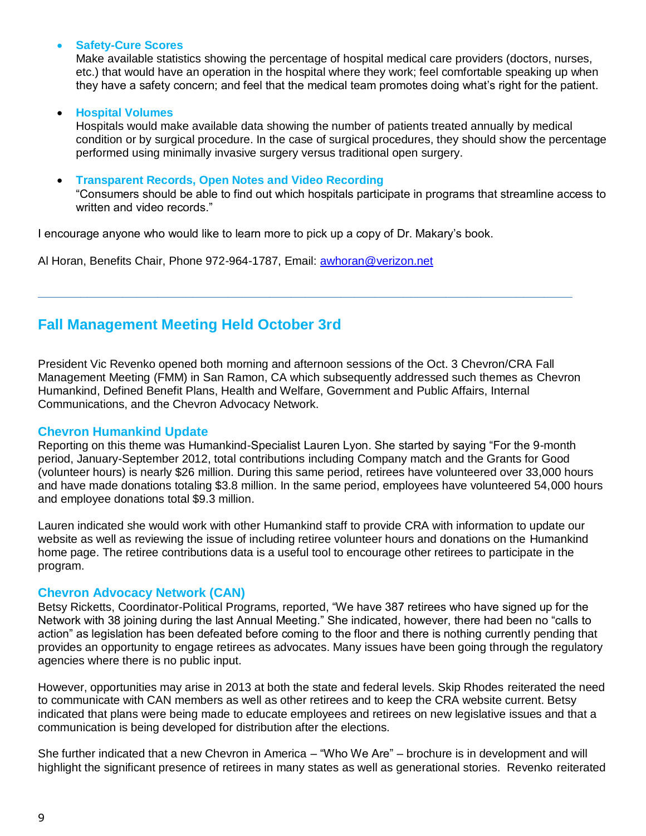#### **Safety-Cure Scores**

Make available statistics showing the percentage of hospital medical care providers (doctors, nurses, etc.) that would have an operation in the hospital where they work; feel comfortable speaking up when they have a safety concern; and feel that the medical team promotes doing what's right for the patient.

#### **Hospital Volumes**

Hospitals would make available data showing the number of patients treated annually by medical condition or by surgical procedure. In the case of surgical procedures, they should show the percentage performed using minimally invasive surgery versus traditional open surgery.

**Transparent Records, Open Notes and Video Recording**

"Consumers should be able to find out which hospitals participate in programs that streamline access to written and video records."

I encourage anyone who would like to learn more to pick up a copy of Dr. Makary's book.

Al Horan, Benefits Chair, Phone 972-964-1787, Email: [awhoran@verizon.net](mailto:awhoran@verizon.net)

# **Fall Management Meeting Held October 3rd**

President Vic Revenko opened both morning and afternoon sessions of the Oct. 3 Chevron/CRA Fall Management Meeting (FMM) in San Ramon, CA which subsequently addressed such themes as Chevron Humankind, Defined Benefit Plans, Health and Welfare, Government and Public Affairs, Internal Communications, and the Chevron Advocacy Network.

**\_\_\_\_\_\_\_\_\_\_\_\_\_\_\_\_\_\_\_\_\_\_\_\_\_\_\_\_\_\_\_\_\_\_\_\_\_\_\_\_\_\_\_\_\_\_\_\_\_\_\_\_\_\_\_\_\_\_\_\_\_\_\_\_\_\_\_\_\_\_\_\_\_\_\_\_**

#### **Chevron Humankind Update**

Reporting on this theme was Humankind-Specialist Lauren Lyon. She started by saying "For the 9-month period, January-September 2012, total contributions including Company match and the Grants for Good (volunteer hours) is nearly \$26 million. During this same period, retirees have volunteered over 33,000 hours and have made donations totaling \$3.8 million. In the same period, employees have volunteered 54,000 hours and employee donations total \$9.3 million.

Lauren indicated she would work with other Humankind staff to provide CRA with information to update our website as well as reviewing the issue of including retiree volunteer hours and donations on the Humankind home page. The retiree contributions data is a useful tool to encourage other retirees to participate in the program.

#### **Chevron Advocacy Network (CAN)**

Betsy Ricketts, Coordinator-Political Programs, reported, "We have 387 retirees who have signed up for the Network with 38 joining during the last Annual Meeting." She indicated, however, there had been no "calls to action" as legislation has been defeated before coming to the floor and there is nothing currently pending that provides an opportunity to engage retirees as advocates. Many issues have been going through the regulatory agencies where there is no public input.

However, opportunities may arise in 2013 at both the state and federal levels. Skip Rhodes reiterated the need to communicate with CAN members as well as other retirees and to keep the CRA website current. Betsy indicated that plans were being made to educate employees and retirees on new legislative issues and that a communication is being developed for distribution after the elections.

She further indicated that a new Chevron in America – "Who We Are" – brochure is in development and will highlight the significant presence of retirees in many states as well as generational stories. Revenko reiterated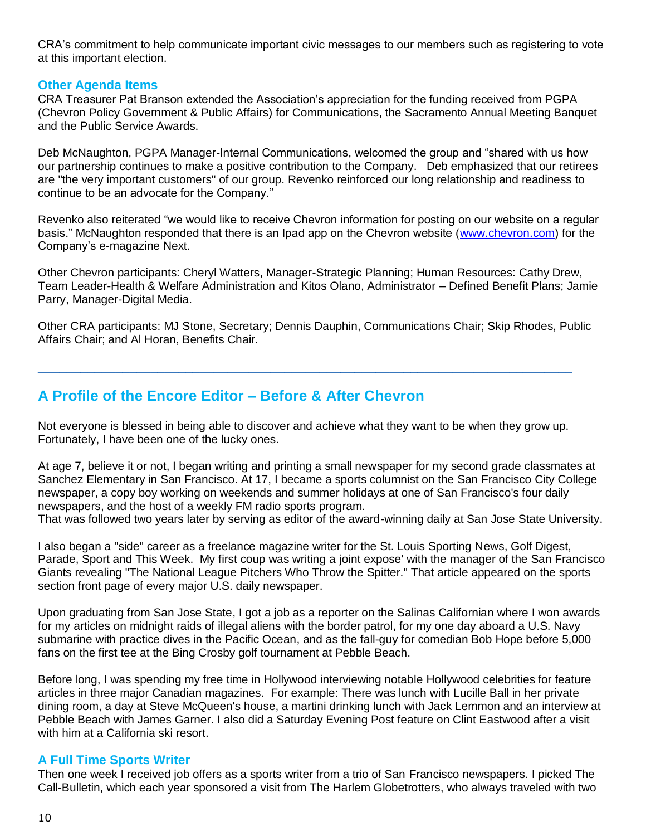CRA's commitment to help communicate important civic messages to our members such as registering to vote at this important election.

### **Other Agenda Items**

CRA Treasurer Pat Branson extended the Association's appreciation for the funding received from PGPA (Chevron Policy Government & Public Affairs) for Communications, the Sacramento Annual Meeting Banquet and the Public Service Awards.

Deb McNaughton, PGPA Manager-Internal Communications, welcomed the group and "shared with us how our partnership continues to make a positive contribution to the Company. Deb emphasized that our retirees are "the very important customers" of our group. Revenko reinforced our long relationship and readiness to continue to be an advocate for the Company."

Revenko also reiterated "we would like to receive Chevron information for posting on our website on a regular basis." McNaughton responded that there is an Ipad app on the Chevron website [\(www.chevron.com\)](http://www.chevron.com/) for the Company's e-magazine Next.

Other Chevron participants: Cheryl Watters, Manager-Strategic Planning; Human Resources: Cathy Drew, Team Leader-Health & Welfare Administration and Kitos Olano, Administrator – Defined Benefit Plans; Jamie Parry, Manager-Digital Media.

Other CRA participants: MJ Stone, Secretary; Dennis Dauphin, Communications Chair; Skip Rhodes, Public Affairs Chair; and Al Horan, Benefits Chair.

# **A Profile of the Encore Editor – Before & After Chevron**

Not everyone is blessed in being able to discover and achieve what they want to be when they grow up. Fortunately, I have been one of the lucky ones.

**\_\_\_\_\_\_\_\_\_\_\_\_\_\_\_\_\_\_\_\_\_\_\_\_\_\_\_\_\_\_\_\_\_\_\_\_\_\_\_\_\_\_\_\_\_\_\_\_\_\_\_\_\_\_\_\_\_\_\_\_\_\_\_\_\_\_\_\_\_\_\_\_\_\_\_\_**

At age 7, believe it or not, I began writing and printing a small newspaper for my second grade classmates at Sanchez Elementary in San Francisco. At 17, I became a sports columnist on the San Francisco City College newspaper, a copy boy working on weekends and summer holidays at one of San Francisco's four daily newspapers, and the host of a weekly FM radio sports program.

That was followed two years later by serving as editor of the award-winning daily at San Jose State University.

I also began a "side" career as a freelance magazine writer for the St. Louis Sporting News, Golf Digest, Parade, Sport and This Week. My first coup was writing a joint expose' with the manager of the San Francisco Giants revealing "The National League Pitchers Who Throw the Spitter." That article appeared on the sports section front page of every major U.S. daily newspaper.

Upon graduating from San Jose State, I got a job as a reporter on the Salinas Californian where I won awards for my articles on midnight raids of illegal aliens with the border patrol, for my one day aboard a U.S. Navy submarine with practice dives in the Pacific Ocean, and as the fall-guy for comedian Bob Hope before 5,000 fans on the first tee at the Bing Crosby golf tournament at Pebble Beach.

Before long, I was spending my free time in Hollywood interviewing notable Hollywood celebrities for feature articles in three major Canadian magazines. For example: There was lunch with Lucille Ball in her private dining room, a day at Steve McQueen's house, a martini drinking lunch with Jack Lemmon and an interview at Pebble Beach with James Garner. I also did a Saturday Evening Post feature on Clint Eastwood after a visit with him at a California ski resort.

## **A Full Time Sports Writer**

Then one week I received job offers as a sports writer from a trio of San Francisco newspapers. I picked The Call-Bulletin, which each year sponsored a visit from The Harlem Globetrotters, who always traveled with two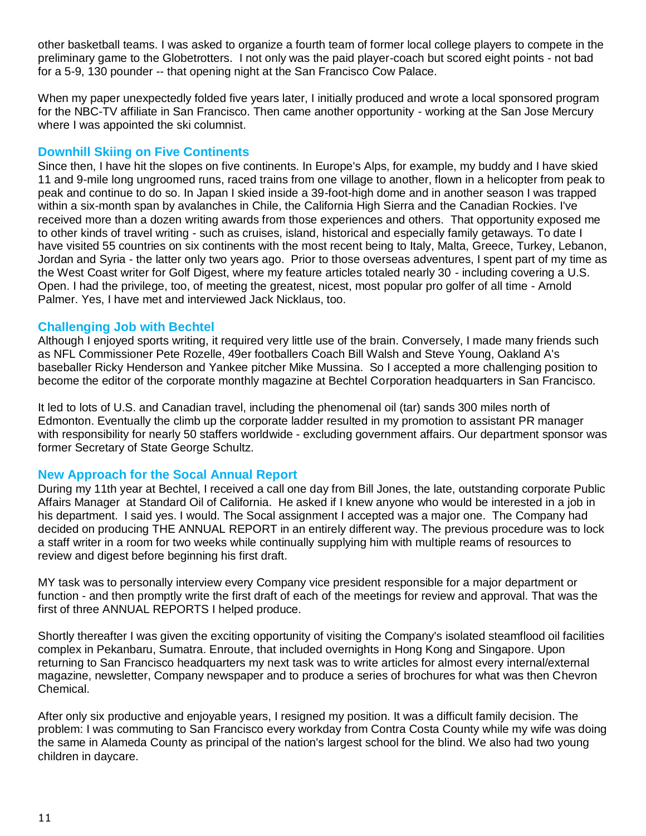other basketball teams. I was asked to organize a fourth team of former local college players to compete in the preliminary game to the Globetrotters. I not only was the paid player-coach but scored eight points - not bad for a 5-9, 130 pounder -- that opening night at the San Francisco Cow Palace.

When my paper unexpectedly folded five years later, I initially produced and wrote a local sponsored program for the NBC-TV affiliate in San Francisco. Then came another opportunity - working at the San Jose Mercury where I was appointed the ski columnist.

## **Downhill Skiing on Five Continents**

Since then, I have hit the slopes on five continents. In Europe's Alps, for example, my buddy and I have skied 11 and 9-mile long ungroomed runs, raced trains from one village to another, flown in a helicopter from peak to peak and continue to do so. In Japan I skied inside a 39-foot-high dome and in another season I was trapped within a six-month span by avalanches in Chile, the California High Sierra and the Canadian Rockies. I've received more than a dozen writing awards from those experiences and others. That opportunity exposed me to other kinds of travel writing - such as cruises, island, historical and especially family getaways. To date I have visited 55 countries on six continents with the most recent being to Italy, Malta, Greece, Turkey, Lebanon, Jordan and Syria - the latter only two years ago. Prior to those overseas adventures, I spent part of my time as the West Coast writer for Golf Digest, where my feature articles totaled nearly 30 - including covering a U.S. Open. I had the privilege, too, of meeting the greatest, nicest, most popular pro golfer of all time - Arnold Palmer. Yes, I have met and interviewed Jack Nicklaus, too.

## **Challenging Job with Bechtel**

Although I enjoyed sports writing, it required very little use of the brain. Conversely, I made many friends such as NFL Commissioner Pete Rozelle, 49er footballers Coach Bill Walsh and Steve Young, Oakland A's baseballer Ricky Henderson and Yankee pitcher Mike Mussina. So I accepted a more challenging position to become the editor of the corporate monthly magazine at Bechtel Corporation headquarters in San Francisco.

It led to lots of U.S. and Canadian travel, including the phenomenal oil (tar) sands 300 miles north of Edmonton. Eventually the climb up the corporate ladder resulted in my promotion to assistant PR manager with responsibility for nearly 50 staffers worldwide - excluding government affairs. Our department sponsor was former Secretary of State George Schultz.

## **New Approach for the Socal Annual Report**

During my 11th year at Bechtel, I received a call one day from Bill Jones, the late, outstanding corporate Public Affairs Manager at Standard Oil of California. He asked if I knew anyone who would be interested in a job in his department. I said yes. I would. The Socal assignment I accepted was a major one. The Company had decided on producing THE ANNUAL REPORT in an entirely different way. The previous procedure was to lock a staff writer in a room for two weeks while continually supplying him with multiple reams of resources to review and digest before beginning his first draft.

MY task was to personally interview every Company vice president responsible for a major department or function - and then promptly write the first draft of each of the meetings for review and approval. That was the first of three ANNUAL REPORTS I helped produce.

Shortly thereafter I was given the exciting opportunity of visiting the Company's isolated steamflood oil facilities complex in Pekanbaru, Sumatra. Enroute, that included overnights in Hong Kong and Singapore. Upon returning to San Francisco headquarters my next task was to write articles for almost every internal/external magazine, newsletter, Company newspaper and to produce a series of brochures for what was then Chevron Chemical.

After only six productive and enjoyable years, I resigned my position. It was a difficult family decision. The problem: I was commuting to San Francisco every workday from Contra Costa County while my wife was doing the same in Alameda County as principal of the nation's largest school for the blind. We also had two young children in daycare.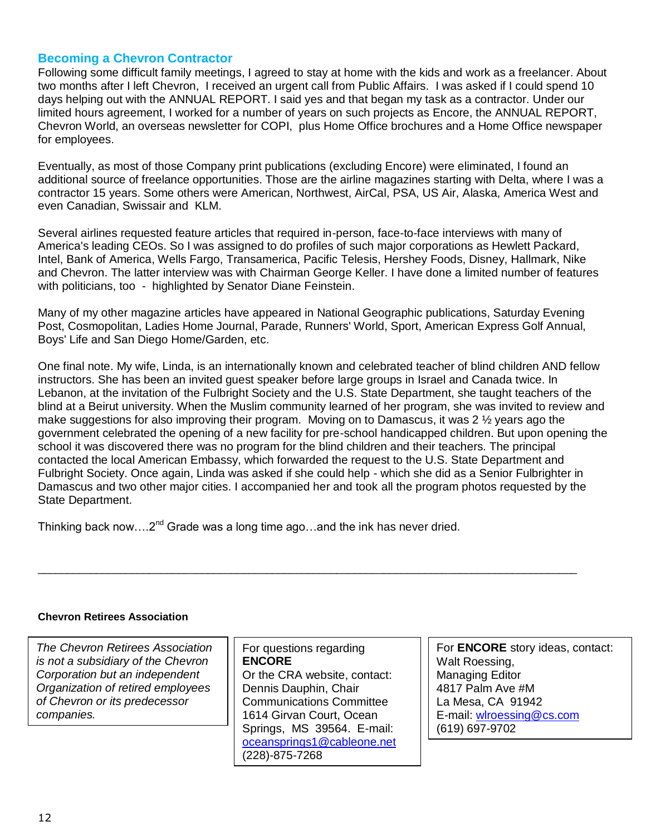### **Becoming a Chevron Contractor**

Following some difficult family meetings, I agreed to stay at home with the kids and work as a freelancer. About two months after I left Chevron, I received an urgent call from Public Affairs. I was asked if I could spend 10 days helping out with the ANNUAL REPORT. I said yes and that began my task as a contractor. Under our limited hours agreement, I worked for a number of years on such projects as Encore, the ANNUAL REPORT, Chevron World, an overseas newsletter for COPI, plus Home Office brochures and a Home Office newspaper for employees.

Eventually, as most of those Company print publications (excluding Encore) were eliminated, I found an additional source of freelance opportunities. Those are the airline magazines starting with Delta, where I was a contractor 15 years. Some others were American, Northwest, AirCal, PSA, US Air, Alaska, America West and even Canadian, Swissair and KLM.

Several airlines requested feature articles that required in-person, face-to-face interviews with many of America's leading CEOs. So I was assigned to do profiles of such major corporations as Hewlett Packard, Intel, Bank of America, Wells Fargo, Transamerica, Pacific Telesis, Hershey Foods, Disney, Hallmark, Nike and Chevron. The latter interview was with Chairman George Keller. I have done a limited number of features with politicians, too - highlighted by Senator Diane Feinstein.

Many of my other magazine articles have appeared in National Geographic publications, Saturday Evening Post, Cosmopolitan, Ladies Home Journal, Parade, Runners' World, Sport, American Express Golf Annual, Boys' Life and San Diego Home/Garden, etc.

One final note. My wife, Linda, is an internationally known and celebrated teacher of blind children AND fellow instructors. She has been an invited guest speaker before large groups in Israel and Canada twice. In Lebanon, at the invitation of the Fulbright Society and the U.S. State Department, she taught teachers of the blind at a Beirut university. When the Muslim community learned of her program, she was invited to review and make suggestions for also improving their program. Moving on to Damascus, it was  $2\frac{1}{2}$  years ago the government celebrated the opening of a new facility for pre-school handicapped children. But upon opening the school it was discovered there was no program for the blind children and their teachers. The principal contacted the local American Embassy, which forwarded the request to the U.S. State Department and Fulbright Society. Once again, Linda was asked if she could help - which she did as a Senior Fulbrighter in Damascus and two other major cities. I accompanied her and took all the program photos requested by the State Department.

Thinking back now.... $2^{nd}$  Grade was a long time ago...and the ink has never dried.

#### **Chevron Retirees Association**

*The Chevron Retirees Association is not a subsidiary of the Chevron Corporation but an independent Organization of retired employees of Chevron or its predecessor companies.*

For questions regarding **ENCORE** Or the CRA website, contact: Dennis Dauphin, Chair Communications Committee 1614 Girvan Court, Ocean Springs, MS 39564. E-mail: [oceansprings1@cableone.net](mailto:oceansprings1@cableone.net) (228)-875-7268

 $\_$  ,  $\_$  ,  $\_$  ,  $\_$  ,  $\_$  ,  $\_$  ,  $\_$  ,  $\_$  ,  $\_$  ,  $\_$  ,  $\_$  ,  $\_$  ,  $\_$  ,  $\_$  ,  $\_$  ,  $\_$  ,  $\_$  ,  $\_$  ,  $\_$  ,  $\_$  ,  $\_$  ,  $\_$  ,  $\_$  ,  $\_$  ,  $\_$  ,  $\_$  ,  $\_$  ,  $\_$  ,  $\_$  ,  $\_$  ,  $\_$  ,  $\_$  ,  $\_$  ,  $\_$  ,  $\_$  ,  $\_$  ,  $\_$  ,

For **ENCORE** story ideas, contact: Walt Roessing, Managing Editor 4817 Palm Ave #M La Mesa, CA 91942 E-mail: [wlroessing@cs.com](mailto:wlroessing@cs.com) (619) 697-9702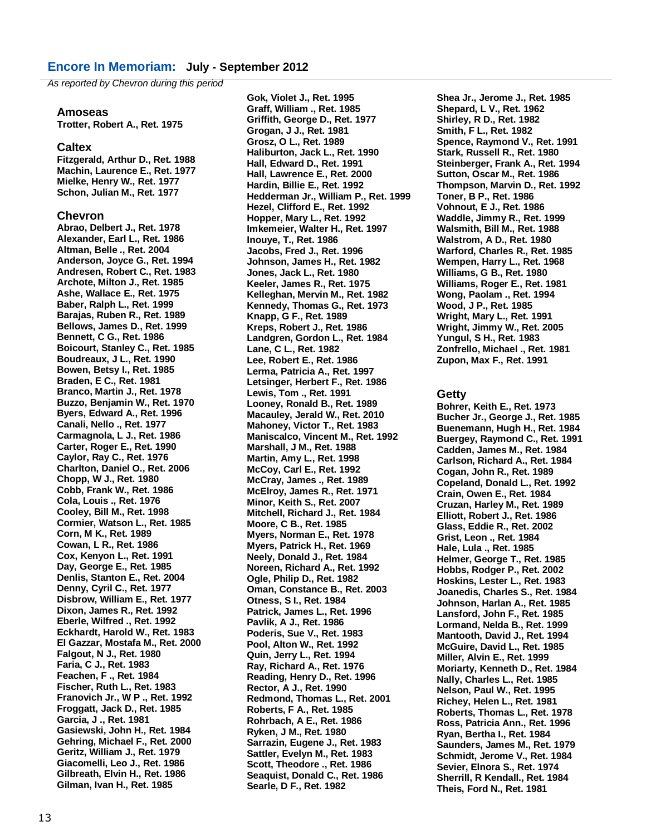*As reported by Chevron during this period*

#### **Amoseas**

**Trotter, Robert A., Ret. 1975**

#### **Caltex**

**Fitzgerald, Arthur D., Ret. 1988 Machin, Laurence E., Ret. 1977 Mielke, Henry W., Ret. 1977 Schon, Julian M., Ret. 1977**

#### **Chevron**

**Abrao, Delbert J., Ret. 1978 Alexander, Earl L., Ret. 1986 Altman, Belle ., Ret. 2004 Anderson, Joyce G., Ret. 1994 Andresen, Robert C., Ret. 1983 Archote, Milton J., Ret. 1985 Ashe, Wallace E., Ret. 1975 Baber, Ralph L., Ret. 1999 Barajas, Ruben R., Ret. 1989 Bellows, James D., Ret. 1999 Bennett, C G., Ret. 1986 Boicourt, Stanley C., Ret. 1985 Boudreaux, J L., Ret. 1990 Bowen, Betsy I., Ret. 1985 Braden, E C., Ret. 1981 Branco, Martin J., Ret. 1978 Buzzo, Benjamin W., Ret. 1970 Byers, Edward A., Ret. 1996 Canali, Nello ., Ret. 1977 Carmagnola, L J., Ret. 1986 Carter, Roger E., Ret. 1990 Caylor, Ray C., Ret. 1976 Charlton, Daniel O., Ret. 2006 Chopp, W J., Ret. 1980 Cobb, Frank W., Ret. 1986 Cola, Louis ., Ret. 1976 Cooley, Bill M., Ret. 1998 Cormier, Watson L., Ret. 1985 Corn, M K., Ret. 1989 Cowan, L R., Ret. 1986 Cox, Kenyon L., Ret. 1991 Day, George E., Ret. 1985 Denlis, Stanton E., Ret. 2004 Denny, Cyril C., Ret. 1977 Disbrow, William E., Ret. 1977 Dixon, James R., Ret. 1992 Eberle, Wilfred ., Ret. 1992 Eckhardt, Harold W., Ret. 1983 El Gazzar, Mostafa M., Ret. 2000 Falgout, N J., Ret. 1980 Faria, C J., Ret. 1983 Feachen, F ., Ret. 1984 Fischer, Ruth L., Ret. 1983 Franovich Jr., W P ., Ret. 1992 Froggatt, Jack D., Ret. 1985 Garcia, J ., Ret. 1981 Gasiewski, John H., Ret. 1984 Gehring, Michael F., Ret. 2000 Geritz, William J., Ret. 1979 Giacomelli, Leo J., Ret. 1986 Gilbreath, Elvin H., Ret. 1986 Gilman, Ivan H., Ret. 1985**

**Gok, Violet J., Ret. 1995 Graff, William ., Ret. 1985 Griffith, George D., Ret. 1977 Grogan, J J., Ret. 1981 Grosz, O L., Ret. 1989 Haliburton, Jack L., Ret. 1990 Hall, Edward D., Ret. 1991 Hall, Lawrence E., Ret. 2000 Hardin, Billie E., Ret. 1992 Hedderman Jr., William P., Ret. 1999 Hezel, Clifford E., Ret. 1992 Hopper, Mary L., Ret. 1992 Imkemeier, Walter H., Ret. 1997 Inouye, T., Ret. 1986 Jacobs, Fred J., Ret. 1996 Johnson, James H., Ret. 1982 Jones, Jack L., Ret. 1980 Keeler, James R., Ret. 1975 Kelleghan, Mervin M., Ret. 1982 Kennedy, Thomas G., Ret. 1973 Knapp, G F., Ret. 1989 Kreps, Robert J., Ret. 1986 Landgren, Gordon L., Ret. 1984 Lane, C L., Ret. 1982 Lee, Robert E., Ret. 1986 Lerma, Patricia A., Ret. 1997 Letsinger, Herbert F., Ret. 1986 Lewis, Tom ., Ret. 1991 Looney, Ronald B., Ret. 1989 Macauley, Jerald W., Ret. 2010 Mahoney, Victor T., Ret. 1983 Maniscalco, Vincent M., Ret. 1992 Marshall, J M., Ret. 1988 Martin, Amy L., Ret. 1998 McCoy, Carl E., Ret. 1992 McCray, James ., Ret. 1989 McElroy, James R., Ret. 1971 Minor, Keith S., Ret. 2007 Mitchell, Richard J., Ret. 1984 Moore, C B., Ret. 1985 Myers, Norman E., Ret. 1978 Myers, Patrick H., Ret. 1969 Neely, Donald J., Ret. 1984 Noreen, Richard A., Ret. 1992 Ogle, Philip D., Ret. 1982 Oman, Constance B., Ret. 2003 Otness, S I., Ret. 1984 Patrick, James L., Ret. 1996 Pavlik, A J., Ret. 1986 Poderis, Sue V., Ret. 1983 Pool, Alton W., Ret. 1992 Quin, Jerry L., Ret. 1994 Ray, Richard A., Ret. 1976 Reading, Henry D., Ret. 1996 Rector, A J., Ret. 1990 Redmond, Thomas L., Ret. 2001 Roberts, F A., Ret. 1985 Rohrbach, A E., Ret. 1986 Ryken, J M., Ret. 1980 Sarrazin, Eugene J., Ret. 1983 Sattler, Evelyn M., Ret. 1983 Scott, Theodore ., Ret. 1986 Seaquist, Donald C., Ret. 1986 Searle, D F., Ret. 1982**

**Shea Jr., Jerome J., Ret. 1985 Shepard, L V., Ret. 1962 Shirley, R D., Ret. 1982 Smith, F L., Ret. 1982 Spence, Raymond V., Ret. 1991 Stark, Russell R., Ret. 1980 Steinberger, Frank A., Ret. 1994 Sutton, Oscar M., Ret. 1986 Thompson, Marvin D., Ret. 1992 Toner, B P., Ret. 1986 Vohnout, E J., Ret. 1986 Waddle, Jimmy R., Ret. 1999 Walsmith, Bill M., Ret. 1988 Walstrom, A D., Ret. 1980 Warford, Charles R., Ret. 1985 Wempen, Harry L., Ret. 1968 Williams, G B., Ret. 1980 Williams, Roger E., Ret. 1981 Wong, Paolam ., Ret. 1994 Wood, J P., Ret. 1985 Wright, Mary L., Ret. 1991 Wright, Jimmy W., Ret. 2005 Yungul, S H., Ret. 1983 Zonfrello, Michael ., Ret. 1981 Zupon, Max F., Ret. 1991**

#### **Getty**

**Bohrer, Keith E., Ret. 1973 Bucher Jr., George J., Ret. 1985 Buenemann, Hugh H., Ret. 1984 Buergey, Raymond C., Ret. 1991 Cadden, James M., Ret. 1984 Carlson, Richard A., Ret. 1984 Cogan, John R., Ret. 1989 Copeland, Donald L., Ret. 1992 Crain, Owen E., Ret. 1984 Cruzan, Harley M., Ret. 1989 Elliott, Robert J., Ret. 1986 Glass, Eddie R., Ret. 2002 Grist, Leon ., Ret. 1984 Hale, Lula ., Ret. 1985 Helmer, George T., Ret. 1985 Hobbs, Rodger P., Ret. 2002 Hoskins, Lester L., Ret. 1983 Joanedis, Charles S., Ret. 1984 Johnson, Harlan A., Ret. 1985 Lansford, John F., Ret. 1985 Lormand, Nelda B., Ret. 1999 Mantooth, David J., Ret. 1994 McGuire, David L., Ret. 1985 Miller, Alvin E., Ret. 1999 Moriarty, Kenneth D., Ret. 1984 Nally, Charles L., Ret. 1985 Nelson, Paul W., Ret. 1995 Richey, Helen L., Ret. 1981 Roberts, Thomas L., Ret. 1978 Ross, Patricia Ann., Ret. 1996 Ryan, Bertha I., Ret. 1984 Saunders, James M., Ret. 1979 Schmidt, Jerome V., Ret. 1984 Sevier, Elnora S., Ret. 1974 Sherrill, R Kendall., Ret. 1984 Theis, Ford N., Ret. 1981**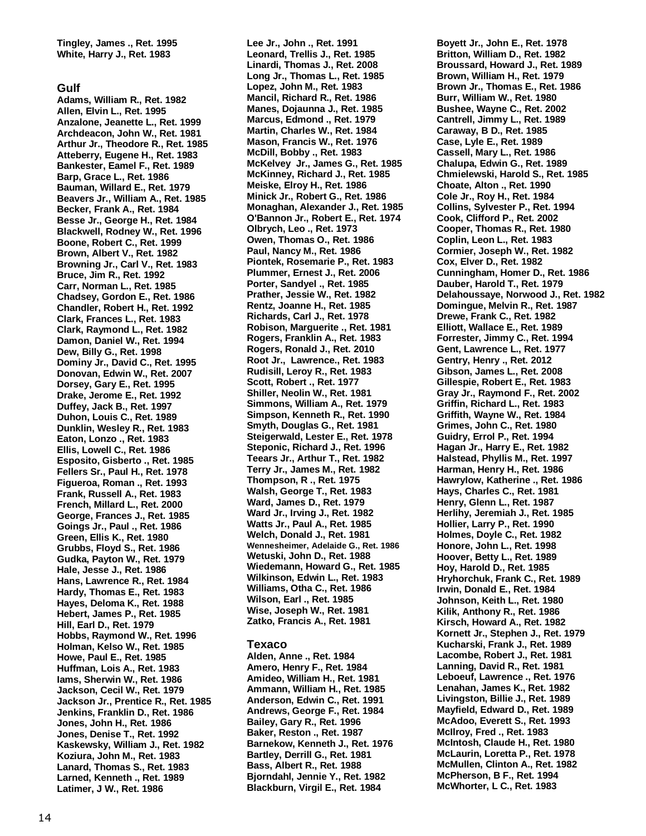**Tingley, James ., Ret. 1995 White, Harry J., Ret. 1983**

#### **Gulf**

**Adams, William R., Ret. 1982 Allen, Elvin L., Ret. 1995 Anzalone, Jeanette L., Ret. 1999 Archdeacon, John W., Ret. 1981 Arthur Jr., Theodore R., Ret. 1985 Atteberry, Eugene H., Ret. 1983 Bankester, Eamel F., Ret. 1989 Barp, Grace L., Ret. 1986 Bauman, Willard E., Ret. 1979 Beavers Jr., William A., Ret. 1985 Becker, Frank A., Ret. 1984 Besse Jr., George H., Ret. 1984 Blackwell, Rodney W., Ret. 1996 Boone, Robert C., Ret. 1999 Brown, Albert V., Ret. 1982 Browning Jr., Carl V., Ret. 1983 Bruce, Jim R., Ret. 1992 Carr, Norman L., Ret. 1985 Chadsey, Gordon E., Ret. 1986 Chandler, Robert H., Ret. 1992 Clark, Frances L., Ret. 1983 Clark, Raymond L., Ret. 1982 Damon, Daniel W., Ret. 1994 Dew, Billy G., Ret. 1998 Dominy Jr., David C., Ret. 1995 Donovan, Edwin W., Ret. 2007 Dorsey, Gary E., Ret. 1995 Drake, Jerome E., Ret. 1992 Duffey, Jack B., Ret. 1997 Duhon, Louis C., Ret. 1989 Dunklin, Wesley R., Ret. 1983 Eaton, Lonzo ., Ret. 1983 Ellis, Lowell C., Ret. 1986 Esposito, Gisberto ., Ret. 1985 Fellers Sr., Paul H., Ret. 1978 Figueroa, Roman ., Ret. 1993 Frank, Russell A., Ret. 1983 French, Millard L., Ret. 2000 George, Frances J., Ret. 1985 Goings Jr., Paul ., Ret. 1986 Green, Ellis K., Ret. 1980 Grubbs, Floyd S., Ret. 1986 Gudka, Payton W., Ret. 1979 Hale, Jesse J., Ret. 1986 Hans, Lawrence R., Ret. 1984 Hardy, Thomas E., Ret. 1983 Hayes, Deloma K., Ret. 1988 Hebert, James P., Ret. 1985 Hill, Earl D., Ret. 1979 Hobbs, Raymond W., Ret. 1996 Holman, Kelso W., Ret. 1985 Howe, Paul E., Ret. 1985 Huffman, Lois A., Ret. 1983 Iams, Sherwin W., Ret. 1986 Jackson, Cecil W., Ret. 1979 Jackson Jr., Prentice R., Ret. 1985 Jenkins, Franklin D., Ret. 1986 Jones, John H., Ret. 1986 Jones, Denise T., Ret. 1992 Kaskewsky, William J., Ret. 1982 Koziura, John M., Ret. 1983 Lanard, Thomas S., Ret. 1983 Larned, Kenneth ., Ret. 1989 Latimer, J W., Ret. 1986**

**Lee Jr., John ., Ret. 1991 Leonard, Trellis J., Ret. 1985 Linardi, Thomas J., Ret. 2008 Long Jr., Thomas L., Ret. 1985 Lopez, John M., Ret. 1983 Mancil, Richard R., Ret. 1986 Manes, Dojaunna J., Ret. 1985 Marcus, Edmond ., Ret. 1979 Martin, Charles W., Ret. 1984 Mason, Francis W., Ret. 1976 McDill, Bobby ., Ret. 1983 McKelvey Jr., James G., Ret. 1985 McKinney, Richard J., Ret. 1985 Meiske, Elroy H., Ret. 1986 Minick Jr., Robert G., Ret. 1986 Monaghan, Alexander J., Ret. 1985 O'Bannon Jr., Robert E., Ret. 1974 Olbrych, Leo ., Ret. 1973 Owen, Thomas O., Ret. 1986 Paul, Nancy M., Ret. 1986 Piontek, Rosemarie P., Ret. 1983 Plummer, Ernest J., Ret. 2006 Porter, Sandyel ., Ret. 1985 Prather, Jessie W., Ret. 1982 Rentz, Joanne H., Ret. 1985 Richards, Carl J., Ret. 1978 Robison, Marguerite ., Ret. 1981 Rogers, Franklin A., Ret. 1983 Rogers, Ronald J., Ret. 2010 Root Jr., Lawrence., Ret. 1983 Rudisill, Leroy R., Ret. 1983 Scott, Robert ., Ret. 1977 Shiller, Neolin W., Ret. 1981 Simmons, William A., Ret. 1979 Simpson, Kenneth R., Ret. 1990 Smyth, Douglas G., Ret. 1981 Steigerwald, Lester E., Ret. 1978 Steponic, Richard J., Ret. 1996 Teears Jr., Arthur T., Ret. 1982 Terry Jr., James M., Ret. 1982 Thompson, R ., Ret. 1975 Walsh, George T., Ret. 1983 Ward, James D., Ret. 1979 Ward Jr., Irving J., Ret. 1982 Watts Jr., Paul A., Ret. 1985 Welch, Donald J., Ret. 1981 Wennesheimer, Adelaide G., Ret. 1986 Wetuski, John D., Ret. 1988 Wiedemann, Howard G., Ret. 1985 Wilkinson, Edwin L., Ret. 1983 Williams, Otha C., Ret. 1986 Wilson, Earl ., Ret. 1985 Wise, Joseph W., Ret. 1981 Zatko, Francis A., Ret. 1981**

#### **Texaco**

**Alden, Anne ., Ret. 1984 Amero, Henry F., Ret. 1984 Amideo, William H., Ret. 1981 Ammann, William H., Ret. 1985 Anderson, Edwin C., Ret. 1991 Andrews, George F., Ret. 1984 Bailey, Gary R., Ret. 1996 Baker, Reston ., Ret. 1987 Barnekow, Kenneth J., Ret. 1976 Bartley, Derrill G., Ret. 1981 Bass, Albert R., Ret. 1988 Bjorndahl, Jennie Y., Ret. 1982 Blackburn, Virgil E., Ret. 1984**

**Boyett Jr., John E., Ret. 1978 Britton, William D., Ret. 1982 Broussard, Howard J., Ret. 1989 Brown, William H., Ret. 1979 Brown Jr., Thomas E., Ret. 1986 Burr, William W., Ret. 1980 Bushee, Wayne C., Ret. 2002 Cantrell, Jimmy L., Ret. 1989 Caraway, B D., Ret. 1985 Case, Lyle E., Ret. 1989 Cassell, Mary L., Ret. 1986 Chalupa, Edwin G., Ret. 1989 Chmielewski, Harold S., Ret. 1985 Choate, Alton ., Ret. 1990 Cole Jr., Roy H., Ret. 1984 Collins, Sylvester P., Ret. 1994 Cook, Clifford P., Ret. 2002 Cooper, Thomas R., Ret. 1980 Coplin, Leon L., Ret. 1983 Cormier, Joseph W., Ret. 1982 Cox, Elver D., Ret. 1982 Cunningham, Homer D., Ret. 1986 Dauber, Harold T., Ret. 1979 Delahoussaye, Norwood J., Ret. 1982 Domingue, Melvin R., Ret. 1987 Drewe, Frank C., Ret. 1982 Elliott, Wallace E., Ret. 1989 Forrester, Jimmy C., Ret. 1994 Gent, Lawrence L., Ret. 1977 Gentry, Henry ., Ret. 2012 Gibson, James L., Ret. 2008 Gillespie, Robert E., Ret. 1983 Gray Jr., Raymond F., Ret. 2002 Griffin, Richard L., Ret. 1983 Griffith, Wayne W., Ret. 1984 Grimes, John C., Ret. 1980 Guidry, Errol P., Ret. 1994 Hagan Jr., Harry E., Ret. 1982 Halstead, Phyllis M., Ret. 1997 Harman, Henry H., Ret. 1986 Hawrylow, Katherine ., Ret. 1986 Hays, Charles C., Ret. 1981 Henry, Glenn L., Ret. 1987 Herlihy, Jeremiah J., Ret. 1985 Hollier, Larry P., Ret. 1990 Holmes, Doyle C., Ret. 1982 Honore, John L., Ret. 1998 Hoover, Betty L., Ret. 1989 Hoy, Harold D., Ret. 1985 Hryhorchuk, Frank C., Ret. 1989 Irwin, Donald E., Ret. 1984 Johnson, Keith L., Ret. 1980 Kilik, Anthony R., Ret. 1986 Kirsch, Howard A., Ret. 1982 Kornett Jr., Stephen J., Ret. 1979 Kucharski, Frank J., Ret. 1989 Lacombe, Robert J., Ret. 1981 Lanning, David R., Ret. 1981 Leboeuf, Lawrence ., Ret. 1976 Lenahan, James K., Ret. 1982 Livingston, Billie J., Ret. 1989 Mayfield, Edward D., Ret. 1989 McAdoo, Everett S., Ret. 1993 McIlroy, Fred ., Ret. 1983 McIntosh, Claude H., Ret. 1980 McLaurin, Loretta P., Ret. 1978 McMullen, Clinton A., Ret. 1982 McPherson, B F., Ret. 1994 McWhorter, L C., Ret. 1983**